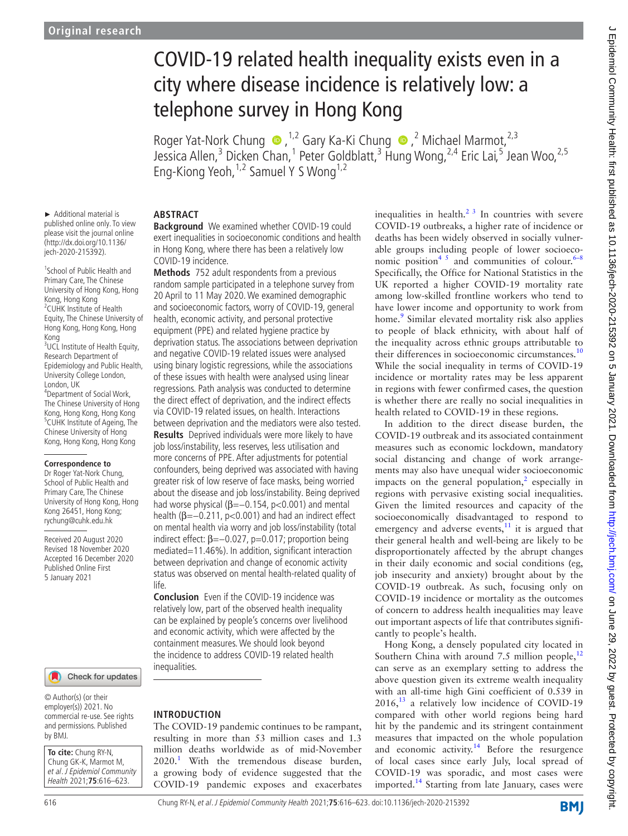► Additional material is published online only. To view please visit the journal online (http://dx.doi.org/10.1136/ jech-2020-215392).

1 School of Public Health and Primary Care, The Chinese University of Hong Kong, Hong

<sup>3</sup>UCL Institute of Health Equity, Research Department of Epidemiology and Public Health, University College London,

4 Department of Social Work, The Chinese University of Hong Kong, Hong Kong, Hong Kong 5 CUHK Institute of Ageing, The Chinese University of Hong Kong, Hong Kong, Hong Kong

**Correspondence to** Dr Roger Yat-Nork Chung, School of Public Health and Primary Care, The Chinese University of Hong Kong, Hong Kong 26451, Hong Kong; rychung@cuhk.edu.hk Received 20 August 2020 Revised 18 November 2020 Accepted 16 December 2020 Published Online First 5 January 2021

Kong, Hong Kong 2 CUHK Institute of Health Equity, The Chinese University of Hong Kong, Hong Kong, Hong

Kong

London, UK

# COVID-19 related health inequality exists even in a city where disease incidence is relatively low: a telephone survey in Hong Kong

RogerYat-Nork Chung  $\bullet$ , <sup>1,2</sup> Gary Ka-Ki Chung  $\bullet$ , <sup>2</sup> Michael Marmot, <sup>2,3</sup> Jessica Allen,<sup>3</sup> Dicken Chan,<sup>1</sup> Peter Goldblatt,<sup>3</sup> Hung Wong,<sup>2,4</sup> Eric Lai,<sup>5</sup> Jean Woo,<sup>2,5</sup> Eng-Kiong Yeoh,<sup>1,2</sup> Samuel Y S Wong<sup>1,2</sup>

## **ABSTRACT**

**Background** We examined whether COVID-19 could exert inequalities in socioeconomic conditions and health in Hong Kong, where there has been a relatively low COVID-19 incidence.

**Methods** 752 adult respondents from a previous random sample participated in a telephone survey from 20 April to 11 May 2020. We examined demographic and socioeconomic factors, worry of COVID-19, general health, economic activity, and personal protective equipment (PPE) and related hygiene practice by deprivation status. The associations between deprivation and negative COVID-19 related issues were analysed using binary logistic regressions, while the associations of these issues with health were analysed using linear regressions. Path analysis was conducted to determine the direct effect of deprivation, and the indirect effects via COVID-19 related issues, on health. Interactions between deprivation and the mediators were also tested. **Results** Deprived individuals were more likely to have job loss/instability, less reserves, less utilisation and more concerns of PPE. After adjustments for potential confounders, being deprived was associated with having greater risk of low reserve of face masks, being worried about the disease and job loss/instability. Being deprived had worse physical ( $\beta$ =−0.154, p<0.001) and mental health (β=−0.211, p<0.001) and had an indirect effect on mental health via worry and job loss/instability (total indirect effect:  $\beta = -0.027$ ,  $p = 0.017$ ; proportion being mediated=11.46%). In addition, significant interaction between deprivation and change of economic activity status was observed on mental health-related quality of life.

**Conclusion** Even if the COVID-19 incidence was relatively low, part of the observed health inequality can be explained by people's concerns over livelihood and economic activity, which were affected by the containment measures. We should look beyond the incidence to address COVID-19 related health inequalities.

## **INTRODUCTION**

The COVID-19 pandemic continues to be rampant, resulting in more than 53 million cases and 1.3 million deaths worldwide as of mid-November  $2020$ .<sup>[1](#page-7-0)</sup> With the tremendous disease burden, a growing body of evidence suggested that the COVID-19 pandemic exposes and exacerbates

inequalities in health. $2<sup>3</sup>$  In countries with severe COVID-19 outbreaks, a higher rate of incidence or deaths has been widely observed in socially vulnerable groups including people of lower socioeconomic position<sup>45</sup> and communities of colour.<sup>6-8</sup> Specifically, the Office for National Statistics in the UK reported a higher COVID-19 mortality rate among low-skilled frontline workers who tend to have lower income and opportunity to work from home.<sup>[9](#page-7-4)</sup> Similar elevated mortality risk also applies to people of black ethnicity, with about half of the inequality across ethnic groups attributable to their differences in socioeconomic circumstances.<sup>[10](#page-7-5)</sup> While the social inequality in terms of COVID-19 incidence or mortality rates may be less apparent in regions with fewer confirmed cases, the question is whether there are really no social inequalities in health related to COVID-19 in these regions.

In addition to the direct disease burden, the COVID-19 outbreak and its associated containment measures such as economic lockdown, mandatory social distancing and change of work arrangements may also have unequal wider socioeconomic impacts on the general population, $\frac{2}{3}$  especially in regions with pervasive existing social inequalities. Given the limited resources and capacity of the socioeconomically disadvantaged to respond to emergency and adverse events, $11$  it is argued that their general health and well-being are likely to be disproportionately affected by the abrupt changes in their daily economic and social conditions (eg, job insecurity and anxiety) brought about by the COVID-19 outbreak. As such, focusing only on COVID-19 incidence or mortality as the outcomes of concern to address health inequalities may leave out important aspects of life that contributes significantly to people's health.

Hong Kong, a densely populated city located in Southern China with around 7.5 million people, $^{12}$  $^{12}$  $^{12}$ can serve as an exemplary setting to address the above question given its extreme wealth inequality with an all-time high Gini coefficient of 0.539 in  $2016$ ,<sup>13</sup> a relatively low incidence of COVID-19 compared with other world regions being hard hit by the pandemic and its stringent containment measures that impacted on the whole population and economic activity.<sup>14</sup> Before the resurgence of local cases since early July, local spread of COVID-19 was sporadic, and most cases were imported.<sup>[14](#page-7-9)</sup> Starting from late January, cases were

## Check for updates

© Author(s) (or their employer(s)) 2021. No commercial re-use. See rights and permissions. Published by BMJ.

**To cite:** Chung RY-N, Chung GK-K, Marmot M, et al. J Epidemiol Community Health 2021;**75**:616–623.

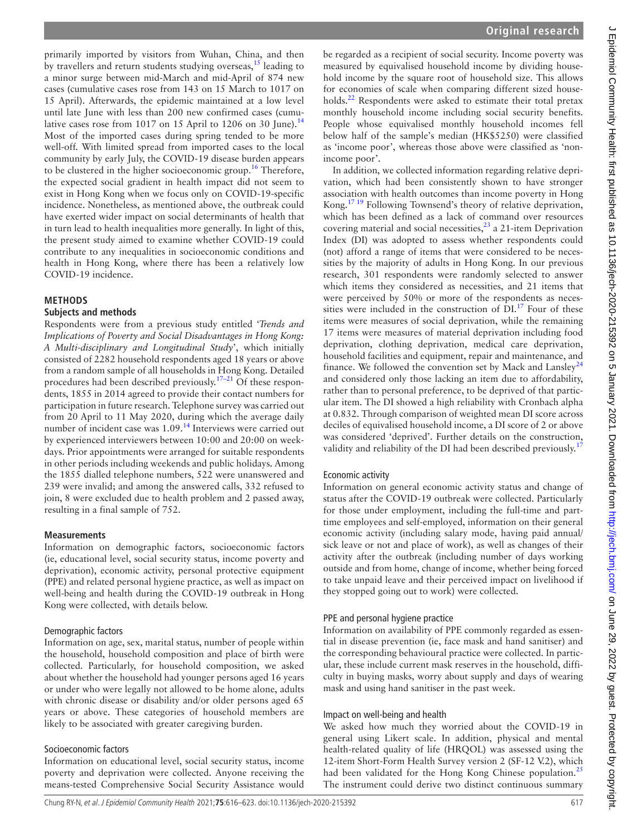primarily imported by visitors from Wuhan, China, and then by travellers and return students studying overseas,<sup>[15](#page-7-10)</sup> leading to a minor surge between mid-March and mid-April of 874 new cases (cumulative cases rose from 143 on 15 March to 1017 on 15 April). Afterwards, the epidemic maintained at a low level until late June with less than 200 new confirmed cases (cumu-lative cases rose from 1017 on 15 April to 1206 on 30 June).<sup>[14](#page-7-9)</sup> Most of the imported cases during spring tended to be more well-off. With limited spread from imported cases to the local community by early July, the COVID-19 disease burden appears to be clustered in the higher socioeconomic group.<sup>16</sup> Therefore, the expected social gradient in health impact did not seem to exist in Hong Kong when we focus only on COVID-19-specific incidence. Nonetheless, as mentioned above, the outbreak could have exerted wider impact on social determinants of health that in turn lead to health inequalities more generally. In light of this, the present study aimed to examine whether COVID-19 could contribute to any inequalities in socioeconomic conditions and health in Hong Kong, where there has been a relatively low COVID-19 incidence.

## **METHODS**

### **Subjects and methods**

Respondents were from a previous study entitled '*Trends and Implications of Poverty and Social Disadvantages in Hong Kong: A Multi-disciplinary and Longitudinal Study*', which initially consisted of 2282 household respondents aged 18 years or above from a random sample of all households in Hong Kong. Detailed procedures had been described previously.<sup>17-21</sup> Of these respondents, 1855 in 2014 agreed to provide their contact numbers for participation in future research. Telephone survey was carried out from 20 April to 11 May 2020, during which the average daily number of incident case was 1.09.[14](#page-7-9) Interviews were carried out by experienced interviewers between 10:00 and 20:00 on weekdays. Prior appointments were arranged for suitable respondents in other periods including weekends and public holidays. Among the 1855 dialled telephone numbers, 522 were unanswered and 239 were invalid; and among the answered calls, 332 refused to join, 8 were excluded due to health problem and 2 passed away, resulting in a final sample of 752.

#### **Measurements**

Information on demographic factors, socioeconomic factors (ie, educational level, social security status, income poverty and deprivation), economic activity, personal protective equipment (PPE) and related personal hygiene practice, as well as impact on well-being and health during the COVID-19 outbreak in Hong Kong were collected, with details below.

#### Demographic factors

Information on age, sex, marital status, number of people within the household, household composition and place of birth were collected. Particularly, for household composition, we asked about whether the household had younger persons aged 16 years or under who were legally not allowed to be home alone, adults with chronic disease or disability and/or older persons aged 65 years or above. These categories of household members are likely to be associated with greater caregiving burden.

#### Socioeconomic factors

Information on educational level, social security status, income poverty and deprivation were collected. Anyone receiving the means-tested Comprehensive Social Security Assistance would

be regarded as a recipient of social security. Income poverty was measured by equivalised household income by dividing household income by the square root of household size. This allows for economies of scale when comparing different sized households.<sup>22</sup> Respondents were asked to estimate their total pretax monthly household income including social security benefits. People whose equivalised monthly household incomes fell below half of the sample's median (HK\$5250) were classified as 'income poor', whereas those above were classified as 'nonincome poor'.

In addition, we collected information regarding relative deprivation, which had been consistently shown to have stronger association with health outcomes than income poverty in Hong Kong.[17 19](#page-7-12) Following Townsend's theory of relative deprivation, which has been defined as a lack of command over resources covering material and social necessities, $2<sup>3</sup>$  a 21-item Deprivation Index (DI) was adopted to assess whether respondents could (not) afford a range of items that were considered to be necessities by the majority of adults in Hong Kong. In our previous research, 301 respondents were randomly selected to answer which items they considered as necessities, and 21 items that were perceived by 50% or more of the respondents as necessities were included in the construction of  $DI<sup>17</sup>$  Four of these items were measures of social deprivation, while the remaining 17 items were measures of material deprivation including food deprivation, clothing deprivation, medical care deprivation, household facilities and equipment, repair and maintenance, and finance. We followed the convention set by Mack and Lansley<sup>[24](#page-7-15)</sup> and considered only those lacking an item due to affordability, rather than to personal preference, to be deprived of that particular item. The DI showed a high reliability with Cronbach alpha at 0.832. Through comparison of weighted mean DI score across deciles of equivalised household income, a DI score of 2 or above was considered 'deprived'. Further details on the construction, validity and reliability of the DI had been described previously.<sup>[17](#page-7-12)</sup>

#### Economic activity

Information on general economic activity status and change of status after the COVID-19 outbreak were collected. Particularly for those under employment, including the full-time and parttime employees and self-employed, information on their general economic activity (including salary mode, having paid annual/ sick leave or not and place of work), as well as changes of their activity after the outbreak (including number of days working outside and from home, change of income, whether being forced to take unpaid leave and their perceived impact on livelihood if they stopped going out to work) were collected.

#### PPE and personal hygiene practice

Information on availability of PPE commonly regarded as essential in disease prevention (ie, face mask and hand sanitiser) and the corresponding behavioural practice were collected. In particular, these include current mask reserves in the household, difficulty in buying masks, worry about supply and days of wearing mask and using hand sanitiser in the past week.

#### Impact on well-being and health

We asked how much they worried about the COVID-19 in general using Likert scale. In addition, physical and mental health-related quality of life (HRQOL) was assessed using the 12-item Short-Form Health Survey version 2 (SF-12 V.2), which had been validated for the Hong Kong Chinese population.<sup>[25](#page-7-16)</sup> The instrument could derive two distinct continuous summary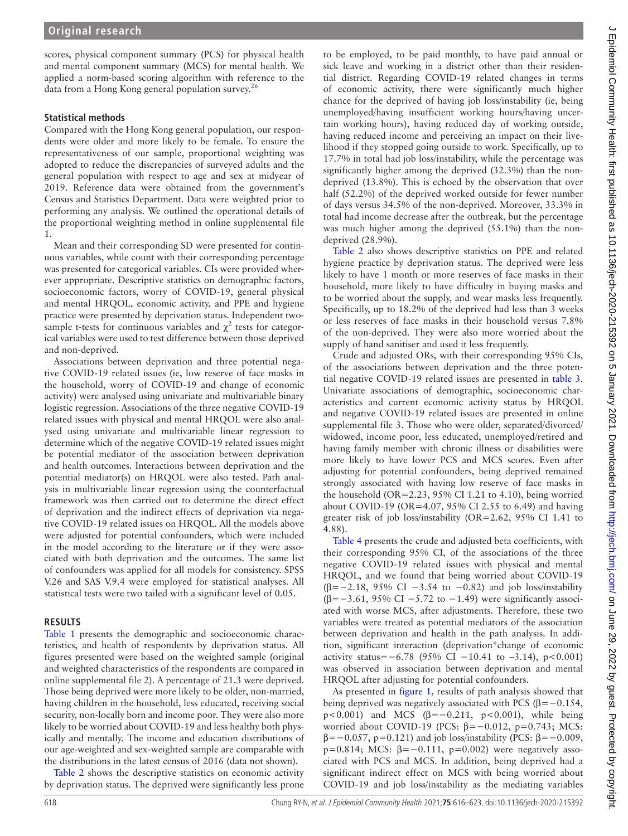scores, physical component summary (PCS) for physical health and mental component summary (MCS) for mental health. We applied a norm-based scoring algorithm with reference to the data from a Hong Kong general population survey.<sup>26</sup>

## **Statistical methods**

Compared with the Hong Kong general population, our respondents were older and more likely to be female. To ensure the representativeness of our sample, proportional weighting was adopted to reduce the discrepancies of surveyed adults and the general population with respect to age and sex at midyear of 2019. Reference data were obtained from the government's Census and Statistics Department. Data were weighted prior to performing any analysis. We outlined the operational details of the proportional weighting method in [online supplemental file](https://dx.doi.org/10.1136/jech-2020-215392)  [1](https://dx.doi.org/10.1136/jech-2020-215392).

Mean and their corresponding SD were presented for continuous variables, while count with their corresponding percentage was presented for categorical variables. CIs were provided wherever appropriate. Descriptive statistics on demographic factors, socioeconomic factors, worry of COVID-19, general physical and mental HRQOL, economic activity, and PPE and hygiene practice were presented by deprivation status. Independent twosample t-tests for continuous variables and  $\chi^2$  tests for categorical variables were used to test difference between those deprived and non-deprived.

Associations between deprivation and three potential negative COVID-19 related issues (ie, low reserve of face masks in the household, worry of COVID-19 and change of economic activity) were analysed using univariate and multivariable binary logistic regression. Associations of the three negative COVID-19 related issues with physical and mental HRQOL were also analysed using univariate and multivariable linear regression to determine which of the negative COVID-19 related issues might be potential mediator of the association between deprivation and health outcomes. Interactions between deprivation and the potential mediator(s) on HRQOL were also tested. Path analysis in multivariable linear regression using the counterfactual framework was then carried out to determine the direct effect of deprivation and the indirect effects of deprivation via negative COVID-19 related issues on HRQOL. All the models above were adjusted for potential confounders, which were included in the model according to the literature or if they were associated with both deprivation and the outcomes. The same list of confounders was applied for all models for consistency. SPSS V.26 and SAS V.9.4 were employed for statistical analyses. All statistical tests were two tailed with a significant level of 0.05.

## **RESULTS**

[Table](#page-3-0) 1 presents the demographic and socioeconomic characteristics, and health of respondents by deprivation status. All figures presented were based on the weighted sample (original and weighted characteristics of the respondents are compared in [online supplemental file 2](https://dx.doi.org/10.1136/jech-2020-215392)). A percentage of 21.3 were deprived. Those being deprived were more likely to be older, non-married, having children in the household, less educated, receiving social security, non-locally born and income poor. They were also more likely to be worried about COVID-19 and less healthy both physically and mentally. The income and education distributions of our age-weighted and sex-weighted sample are comparable with the distributions in the latest census of 2016 (data not shown).

[Table](#page-4-0) 2 shows the descriptive statistics on economic activity by deprivation status. The deprived were significantly less prone

to be employed, to be paid monthly, to have paid annual or sick leave and working in a district other than their residential district. Regarding COVID-19 related changes in terms of economic activity, there were significantly much higher chance for the deprived of having job loss/instability (ie, being unemployed/having insufficient working hours/having uncertain working hours), having reduced day of working outside, having reduced income and perceiving an impact on their livelihood if they stopped going outside to work. Specifically, up to 17.7% in total had job loss/instability, while the percentage was significantly higher among the deprived (32.3%) than the nondeprived (13.8%). This is echoed by the observation that over half (52.2%) of the deprived worked outside for fewer number of days versus 34.5% of the non-deprived. Moreover, 33.3% in total had income decrease after the outbreak, but the percentage was much higher among the deprived (55.1%) than the nondeprived (28.9%).

[Table](#page-4-0) 2 also shows descriptive statistics on PPE and related hygiene practice by deprivation status. The deprived were less likely to have 1 month or more reserves of face masks in their household, more likely to have difficulty in buying masks and to be worried about the supply, and wear masks less frequently. Specifically, up to 18.2% of the deprived had less than 3 weeks or less reserves of face masks in their household versus 7.8% of the non-deprived. They were also more worried about the supply of hand sanitiser and used it less frequently.

Crude and adjusted ORs, with their corresponding 95% CIs, of the associations between deprivation and the three potential negative COVID-19 related issues are presented in [table](#page-5-0) 3. Univariate associations of demographic, socioeconomic characteristics and current economic activity status by HRQOL and negative COVID-19 related issues are presented in [online](https://dx.doi.org/10.1136/jech-2020-215392) [supplemental file 3.](https://dx.doi.org/10.1136/jech-2020-215392) Those who were older, separated/divorced/ widowed, income poor, less educated, unemployed/retired and having family member with chronic illness or disabilities were more likely to have lower PCS and MCS scores. Even after adjusting for potential confounders, being deprived remained strongly associated with having low reserve of face masks in the household ( $OR=2.23$ , 95% CI 1.21 to 4.10), being worried about COVID-19 (OR=4.07, 95% CI 2.55 to 6.49) and having greater risk of job loss/instability (OR=2.62, 95% CI 1.41 to 4.88).

[Table](#page-6-0) 4 presents the crude and adjusted beta coefficients, with their corresponding 95% CI, of the associations of the three negative COVID-19 related issues with physical and mental HRQOL, and we found that being worried about COVID-19 ( $\beta$ =−2.18, 95% CI −3.54 to −0.82) and job loss/instability ( $\beta$ =−3.61, 95% CI −5.72 to −1.49) were significantly associated with worse MCS, after adjustments. Therefore, these two variables were treated as potential mediators of the association between deprivation and health in the path analysis. In addition, significant interaction (deprivation\*change of economic activity status= $-6.78$  (95% CI −10.41 to −3.14), p<0.001) was observed in association between deprivation and mental HRQOL after adjusting for potential confounders.

As presented in [figure](#page-6-1) 1, results of path analysis showed that being deprived was negatively associated with PCS ( $\beta$ = −0.154, p<0.001) and MCS ( $\beta$ = −0.211, p<0.001), while being worried about COVID-19 (PCS: β=−0.012, p=0.743; MCS:  $β=-0.057$ , p=0.121) and job loss/instability (PCS:  $β=-0.009$ , p=0.814; MCS:  $\beta$ =-0.111, p=0.002) were negatively associated with PCS and MCS. In addition, being deprived had a significant indirect effect on MCS with being worried about COVID-19 and job loss/instability as the mediating variables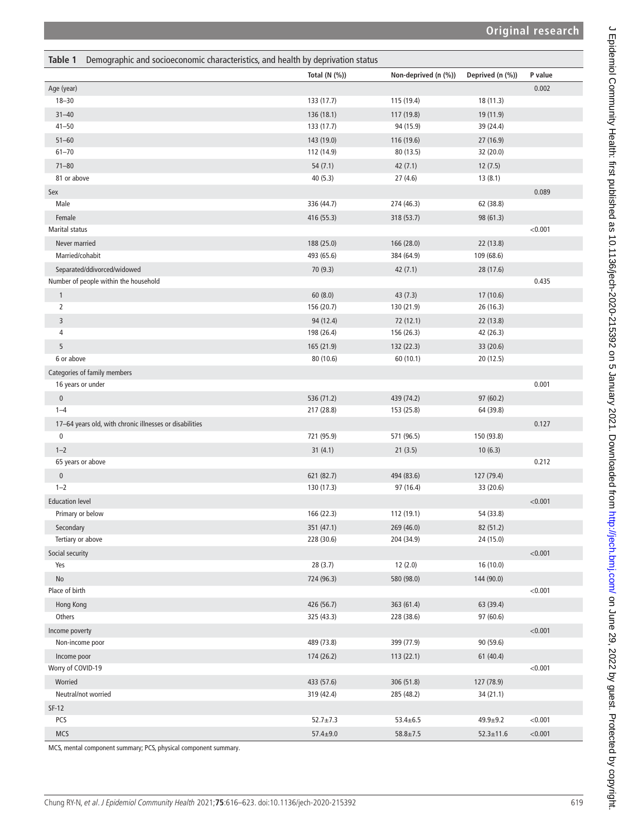<span id="page-3-0"></span>

| Demographic and socioeconomic characteristics, and health by deprivation status<br>Table 1 |                          |                          |                        |         |
|--------------------------------------------------------------------------------------------|--------------------------|--------------------------|------------------------|---------|
|                                                                                            | Total $(N$ $(\%)$        | Non-deprived (n (%))     | Deprived (n (%))       | P value |
| Age (year)                                                                                 |                          |                          |                        | 0.002   |
| $18 - 30$                                                                                  | 133 (17.7)               | 115 (19.4)               | 18 (11.3)              |         |
| $31 - 40$                                                                                  | 136 (18.1)               | 117 (19.8)               | 19 (11.9)              |         |
| $41 - 50$                                                                                  | 133 (17.7)               | 94 (15.9)                | 39 (24.4)              |         |
| $51 - 60$                                                                                  | 143 (19.0)               | 116 (19.6)               | 27 (16.9)              |         |
| $61 - 70$                                                                                  | 112 (14.9)               | 80 (13.5)                | 32 (20.0)              |         |
| $71 - 80$                                                                                  | 54(7.1)                  | 42(7.1)                  | 12(7.5)                |         |
| 81 or above                                                                                | 40(5.3)                  | 27(4.6)                  | 13(8.1)                |         |
| Sex                                                                                        |                          |                          |                        | 0.089   |
| Male                                                                                       | 336 (44.7)               | 274 (46.3)               | 62 (38.8)              |         |
| Female                                                                                     | 416 (55.3)               | 318 (53.7)               | 98 (61.3)              |         |
| Marital status                                                                             |                          |                          |                        | < 0.001 |
| Never married                                                                              | 188 (25.0)               | 166 (28.0)               | 22 (13.8)              |         |
| Married/cohabit                                                                            | 493 (65.6)               | 384 (64.9)               | 109 (68.6)             |         |
| Separated/ddivorced/widowed                                                                | 70 (9.3)                 | 42(7.1)                  | 28 (17.6)              |         |
| Number of people within the household                                                      |                          |                          |                        | 0.435   |
| $\mathbf{1}$                                                                               | 60(8.0)                  | 43(7.3)                  | 17 (10.6)              |         |
| $\overline{2}$                                                                             | 156 (20.7)               | 130 (21.9)               | 26 (16.3)              |         |
| 3                                                                                          | 94 (12.4)                | 72 (12.1)                | 22 (13.8)              |         |
| 4                                                                                          | 198 (26.4)               | 156 (26.3)               | 42 (26.3)              |         |
| 5                                                                                          | 165 (21.9)               | 132 (22.3)               | 33 (20.6)              |         |
| 6 or above                                                                                 | 80 (10.6)                | 60 (10.1)                | 20(12.5)               |         |
| Categories of family members                                                               |                          |                          |                        |         |
| 16 years or under                                                                          |                          |                          |                        | 0.001   |
| $\pmb{0}$                                                                                  | 536 (71.2)               | 439 (74.2)               | 97 (60.2)              |         |
| $1 - 4$                                                                                    | 217 (28.8)               | 153 (25.8)               | 64 (39.8)              |         |
| 17-64 years old, with chronic illnesses or disabilities                                    |                          |                          |                        | 0.127   |
| 0                                                                                          | 721 (95.9)               | 571 (96.5)               | 150 (93.8)             |         |
| $1 - 2$                                                                                    | 31(4.1)                  | 21(3.5)                  | 10(6.3)                |         |
| 65 years or above                                                                          |                          |                          |                        | 0.212   |
| $\pmb{0}$                                                                                  | 621 (82.7)               | 494 (83.6)               | 127 (79.4)             |         |
| $1 - 2$                                                                                    | 130 (17.3)               | 97 (16.4)                | 33 (20.6)              |         |
| <b>Education level</b>                                                                     |                          |                          |                        | < 0.001 |
| Primary or below                                                                           | 166 (22.3)               | 112 (19.1)               | 54 (33.8)              |         |
| Secondary                                                                                  | 351 (47.1)               | 269 (46.0)               | 82 (51.2)              |         |
| Tertiary or above                                                                          | 228 (30.6)               | 204 (34.9)               | 24 (15.0)              |         |
| Social security                                                                            |                          |                          |                        | < 0.001 |
| Yes                                                                                        | 28(3.7)                  | 12(2.0)                  | 16 (10.0)              |         |
| No                                                                                         | 724 (96.3)               | 580 (98.0)               | 144 (90.0)             |         |
| Place of birth                                                                             |                          |                          |                        | < 0.001 |
| Hong Kong                                                                                  | 426 (56.7)               | 363 (61.4)               | 63 (39.4)              |         |
| Others                                                                                     | 325 (43.3)               | 228 (38.6)               | 97 (60.6)              |         |
|                                                                                            |                          |                          |                        |         |
| Income poverty<br>Non-income poor                                                          | 489 (73.8)               | 399 (77.9)               | 90 (59.6)              | < 0.001 |
|                                                                                            |                          |                          |                        |         |
| Income poor<br>Worry of COVID-19                                                           | 174 (26.2)               | 113 (22.1)               | 61 (40.4)              | < 0.001 |
|                                                                                            |                          |                          |                        |         |
| Worried<br>Neutral/not worried                                                             | 433 (57.6)<br>319 (42.4) | 306 (51.8)<br>285 (48.2) | 127 (78.9)<br>34(21.1) |         |
|                                                                                            |                          |                          |                        |         |
| $SF-12$                                                                                    |                          |                          |                        |         |
| PCS                                                                                        | $52.7 \pm 7.3$           | $53.4 \pm 6.5$           | $49.9 + 9.2$           | < 0.001 |
| <b>MCS</b>                                                                                 | $57.4 \pm 9.0$           | $58.8 \pm 7.5$           | $52.3 \pm 11.6$        | < 0.001 |

MCS, mental component summary; PCS, physical component summary.

J Epidemiol Community Health: first published as 10.11136/jech-2020-215392 on 5 January 2021. Downloaded from http://jech.bmj.com/ on June 29, 2022 by guest. Protected by copyright. J Epidemiol Community Health: first published as 10.1136/jech-2020-215392 on 5 January 2021. Downloaded from <http://jech.bmj.com/> on June 29, 2022 by guest. Protected by copyright.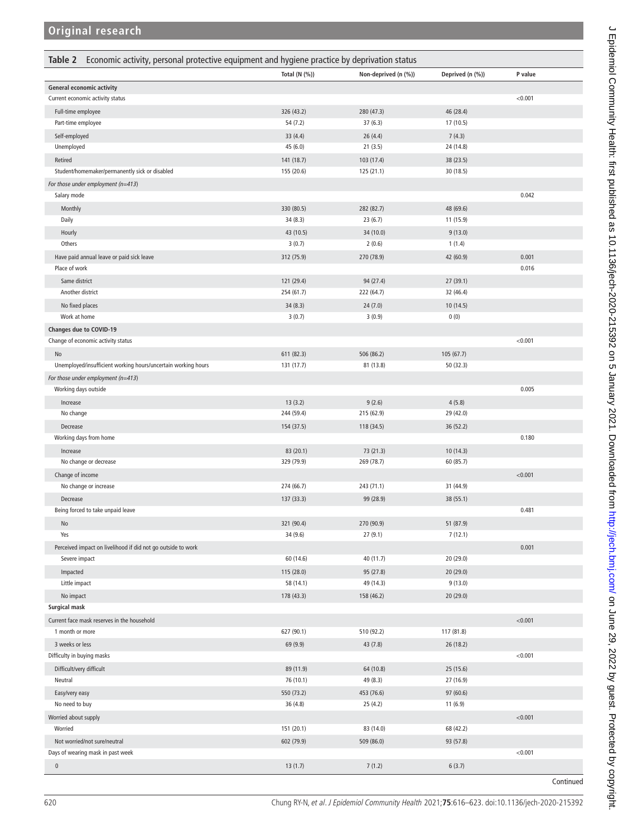<span id="page-4-0"></span>

| Total (N (%))<br>Non-deprived (n (%))<br>Deprived (n (%))<br>P value<br><b>General economic activity</b><br>< 0.001<br>Current economic activity status<br>Full-time employee<br>326 (43.2)<br>280 (47.3)<br>46 (28.4)<br>54 (7.2)<br>37(6.3)<br>17 (10.5)<br>Part-time employee<br>Self-employed<br>33 (4.4)<br>26(4.4)<br>7(4.3)<br>Unemployed<br>45 (6.0)<br>21(3.5)<br>24 (14.8)<br>Retired<br>141 (18.7)<br>103 (17.4)<br>38 (23.5)<br>Student/homemaker/permanently sick or disabled<br>155 (20.6)<br>125 (21.1)<br>30 (18.5)<br>For those under employment (n=413)<br>0.042<br>Salary mode<br>330 (80.5)<br>Monthly<br>282 (82.7)<br>48 (69.6)<br>Daily<br>34(8.3)<br>23(6.7)<br>11 (15.9)<br>Hourly<br>43 (10.5)<br>34 (10.0)<br>9(13.0)<br>Others<br>3(0.7)<br>2(0.6)<br>1(1.4)<br>0.001<br>Have paid annual leave or paid sick leave<br>312 (75.9)<br>270 (78.9)<br>42 (60.9)<br>0.016<br>Place of work<br>Same district<br>121 (29.4)<br>94 (27.4)<br>27(39.1)<br>Another district<br>254 (61.7)<br>222 (64.7)<br>32 (46.4)<br>No fixed places<br>34(8.3)<br>24(7.0)<br>10 (14.5)<br>Work at home<br>3(0.7)<br>3(0.9)<br>0(0)<br>Changes due to COVID-19<br>< 0.001<br>Change of economic activity status<br>611 (82.3)<br>506 (86.2)<br>105(67.7)<br>No<br>Unemployed/insufficient working hours/uncertain working hours<br>131 (17.7)<br>81 (13.8)<br>50(32.3)<br>For those under employment (n=413)<br>Working days outside<br>0.005<br>13(3.2)<br>9(2.6)<br>4(5.8)<br>Increase<br>244 (59.4)<br>215 (62.9)<br>29 (42.0)<br>No change<br>154 (37.5)<br>36 (52.2)<br>Decrease<br>118 (34.5)<br>0.180<br>Working days from home<br>83 (20.1)<br>73 (21.3)<br>10 (14.3)<br>Increase<br>No change or decrease<br>329 (79.9)<br>269 (78.7)<br>60 (85.7)<br>Change of income<br>< 0.001<br>274 (66.7)<br>243 (71.1)<br>31 (44.9)<br>No change or increase<br>137 (33.3)<br>99 (28.9)<br>38 (55.1)<br>Decrease<br>0.481<br>Being forced to take unpaid leave<br>No<br>321 (90.4)<br>270 (90.9)<br>51 (87.9)<br>Yes<br>34 (9.6)<br>27(9.1)<br>7(12.1)<br>0.001<br>Perceived impact on livelihood if did not go outside to work<br>60 (14.6)<br>40 (11.7)<br>Severe impact<br>20 (29.0)<br>115 (28.0)<br>95 (27.8)<br>Impacted<br>20(29.0)<br>Little impact<br>58 (14.1)<br>49 (14.3)<br>9(13.0)<br>No impact<br>178 (43.3)<br>20 (29.0)<br>158 (46.2)<br>Surgical mask<br>Current face mask reserves in the household<br>< 0.001<br>627 (90.1)<br>510 (92.2)<br>117 (81.8)<br>1 month or more<br>3 weeks or less<br>69 (9.9)<br>43 (7.8)<br>26 (18.2)<br>< 0.001<br>Difficulty in buying masks<br>64 (10.8)<br>Difficult/very difficult<br>89 (11.9)<br>25 (15.6)<br>49 (8.3)<br>Neutral<br>76 (10.1)<br>27 (16.9)<br>Easy/very easy<br>550 (73.2)<br>453 (76.6)<br>97 (60.6)<br>No need to buy<br>36 (4.8)<br>25 (4.2)<br>11(6.9)<br>< 0.001<br>Worried about supply<br>151 (20.1)<br>83 (14.0)<br>68 (42.2)<br>Worried<br>Not worried/not sure/neutral<br>602 (79.9)<br>509 (86.0)<br>93 (57.8)<br>Days of wearing mask in past week<br>< 0.001<br>$\pmb{0}$<br>13(1.7)<br>7(1.2)<br>6(3.7) | Economic activity, personal protective equipment and hygiene practice by deprivation status<br>Table 2 |  |           |
|-----------------------------------------------------------------------------------------------------------------------------------------------------------------------------------------------------------------------------------------------------------------------------------------------------------------------------------------------------------------------------------------------------------------------------------------------------------------------------------------------------------------------------------------------------------------------------------------------------------------------------------------------------------------------------------------------------------------------------------------------------------------------------------------------------------------------------------------------------------------------------------------------------------------------------------------------------------------------------------------------------------------------------------------------------------------------------------------------------------------------------------------------------------------------------------------------------------------------------------------------------------------------------------------------------------------------------------------------------------------------------------------------------------------------------------------------------------------------------------------------------------------------------------------------------------------------------------------------------------------------------------------------------------------------------------------------------------------------------------------------------------------------------------------------------------------------------------------------------------------------------------------------------------------------------------------------------------------------------------------------------------------------------------------------------------------------------------------------------------------------------------------------------------------------------------------------------------------------------------------------------------------------------------------------------------------------------------------------------------------------------------------------------------------------------------------------------------------------------------------------------------------------------------------------------------------------------------------------------------------------------------------------------------------------------------------------------------------------------------------------------------------------------------------------------------------------------------------------------------------------------------------------------------------------------------------------------------------------------------------------------------------------------------------------------------------------------------------------------|--------------------------------------------------------------------------------------------------------|--|-----------|
|                                                                                                                                                                                                                                                                                                                                                                                                                                                                                                                                                                                                                                                                                                                                                                                                                                                                                                                                                                                                                                                                                                                                                                                                                                                                                                                                                                                                                                                                                                                                                                                                                                                                                                                                                                                                                                                                                                                                                                                                                                                                                                                                                                                                                                                                                                                                                                                                                                                                                                                                                                                                                                                                                                                                                                                                                                                                                                                                                                                                                                                                                                     |                                                                                                        |  |           |
|                                                                                                                                                                                                                                                                                                                                                                                                                                                                                                                                                                                                                                                                                                                                                                                                                                                                                                                                                                                                                                                                                                                                                                                                                                                                                                                                                                                                                                                                                                                                                                                                                                                                                                                                                                                                                                                                                                                                                                                                                                                                                                                                                                                                                                                                                                                                                                                                                                                                                                                                                                                                                                                                                                                                                                                                                                                                                                                                                                                                                                                                                                     |                                                                                                        |  |           |
|                                                                                                                                                                                                                                                                                                                                                                                                                                                                                                                                                                                                                                                                                                                                                                                                                                                                                                                                                                                                                                                                                                                                                                                                                                                                                                                                                                                                                                                                                                                                                                                                                                                                                                                                                                                                                                                                                                                                                                                                                                                                                                                                                                                                                                                                                                                                                                                                                                                                                                                                                                                                                                                                                                                                                                                                                                                                                                                                                                                                                                                                                                     |                                                                                                        |  |           |
|                                                                                                                                                                                                                                                                                                                                                                                                                                                                                                                                                                                                                                                                                                                                                                                                                                                                                                                                                                                                                                                                                                                                                                                                                                                                                                                                                                                                                                                                                                                                                                                                                                                                                                                                                                                                                                                                                                                                                                                                                                                                                                                                                                                                                                                                                                                                                                                                                                                                                                                                                                                                                                                                                                                                                                                                                                                                                                                                                                                                                                                                                                     |                                                                                                        |  |           |
|                                                                                                                                                                                                                                                                                                                                                                                                                                                                                                                                                                                                                                                                                                                                                                                                                                                                                                                                                                                                                                                                                                                                                                                                                                                                                                                                                                                                                                                                                                                                                                                                                                                                                                                                                                                                                                                                                                                                                                                                                                                                                                                                                                                                                                                                                                                                                                                                                                                                                                                                                                                                                                                                                                                                                                                                                                                                                                                                                                                                                                                                                                     |                                                                                                        |  |           |
|                                                                                                                                                                                                                                                                                                                                                                                                                                                                                                                                                                                                                                                                                                                                                                                                                                                                                                                                                                                                                                                                                                                                                                                                                                                                                                                                                                                                                                                                                                                                                                                                                                                                                                                                                                                                                                                                                                                                                                                                                                                                                                                                                                                                                                                                                                                                                                                                                                                                                                                                                                                                                                                                                                                                                                                                                                                                                                                                                                                                                                                                                                     |                                                                                                        |  |           |
|                                                                                                                                                                                                                                                                                                                                                                                                                                                                                                                                                                                                                                                                                                                                                                                                                                                                                                                                                                                                                                                                                                                                                                                                                                                                                                                                                                                                                                                                                                                                                                                                                                                                                                                                                                                                                                                                                                                                                                                                                                                                                                                                                                                                                                                                                                                                                                                                                                                                                                                                                                                                                                                                                                                                                                                                                                                                                                                                                                                                                                                                                                     |                                                                                                        |  |           |
|                                                                                                                                                                                                                                                                                                                                                                                                                                                                                                                                                                                                                                                                                                                                                                                                                                                                                                                                                                                                                                                                                                                                                                                                                                                                                                                                                                                                                                                                                                                                                                                                                                                                                                                                                                                                                                                                                                                                                                                                                                                                                                                                                                                                                                                                                                                                                                                                                                                                                                                                                                                                                                                                                                                                                                                                                                                                                                                                                                                                                                                                                                     |                                                                                                        |  |           |
|                                                                                                                                                                                                                                                                                                                                                                                                                                                                                                                                                                                                                                                                                                                                                                                                                                                                                                                                                                                                                                                                                                                                                                                                                                                                                                                                                                                                                                                                                                                                                                                                                                                                                                                                                                                                                                                                                                                                                                                                                                                                                                                                                                                                                                                                                                                                                                                                                                                                                                                                                                                                                                                                                                                                                                                                                                                                                                                                                                                                                                                                                                     |                                                                                                        |  |           |
|                                                                                                                                                                                                                                                                                                                                                                                                                                                                                                                                                                                                                                                                                                                                                                                                                                                                                                                                                                                                                                                                                                                                                                                                                                                                                                                                                                                                                                                                                                                                                                                                                                                                                                                                                                                                                                                                                                                                                                                                                                                                                                                                                                                                                                                                                                                                                                                                                                                                                                                                                                                                                                                                                                                                                                                                                                                                                                                                                                                                                                                                                                     |                                                                                                        |  |           |
|                                                                                                                                                                                                                                                                                                                                                                                                                                                                                                                                                                                                                                                                                                                                                                                                                                                                                                                                                                                                                                                                                                                                                                                                                                                                                                                                                                                                                                                                                                                                                                                                                                                                                                                                                                                                                                                                                                                                                                                                                                                                                                                                                                                                                                                                                                                                                                                                                                                                                                                                                                                                                                                                                                                                                                                                                                                                                                                                                                                                                                                                                                     |                                                                                                        |  |           |
|                                                                                                                                                                                                                                                                                                                                                                                                                                                                                                                                                                                                                                                                                                                                                                                                                                                                                                                                                                                                                                                                                                                                                                                                                                                                                                                                                                                                                                                                                                                                                                                                                                                                                                                                                                                                                                                                                                                                                                                                                                                                                                                                                                                                                                                                                                                                                                                                                                                                                                                                                                                                                                                                                                                                                                                                                                                                                                                                                                                                                                                                                                     |                                                                                                        |  |           |
|                                                                                                                                                                                                                                                                                                                                                                                                                                                                                                                                                                                                                                                                                                                                                                                                                                                                                                                                                                                                                                                                                                                                                                                                                                                                                                                                                                                                                                                                                                                                                                                                                                                                                                                                                                                                                                                                                                                                                                                                                                                                                                                                                                                                                                                                                                                                                                                                                                                                                                                                                                                                                                                                                                                                                                                                                                                                                                                                                                                                                                                                                                     |                                                                                                        |  |           |
|                                                                                                                                                                                                                                                                                                                                                                                                                                                                                                                                                                                                                                                                                                                                                                                                                                                                                                                                                                                                                                                                                                                                                                                                                                                                                                                                                                                                                                                                                                                                                                                                                                                                                                                                                                                                                                                                                                                                                                                                                                                                                                                                                                                                                                                                                                                                                                                                                                                                                                                                                                                                                                                                                                                                                                                                                                                                                                                                                                                                                                                                                                     |                                                                                                        |  |           |
|                                                                                                                                                                                                                                                                                                                                                                                                                                                                                                                                                                                                                                                                                                                                                                                                                                                                                                                                                                                                                                                                                                                                                                                                                                                                                                                                                                                                                                                                                                                                                                                                                                                                                                                                                                                                                                                                                                                                                                                                                                                                                                                                                                                                                                                                                                                                                                                                                                                                                                                                                                                                                                                                                                                                                                                                                                                                                                                                                                                                                                                                                                     |                                                                                                        |  |           |
|                                                                                                                                                                                                                                                                                                                                                                                                                                                                                                                                                                                                                                                                                                                                                                                                                                                                                                                                                                                                                                                                                                                                                                                                                                                                                                                                                                                                                                                                                                                                                                                                                                                                                                                                                                                                                                                                                                                                                                                                                                                                                                                                                                                                                                                                                                                                                                                                                                                                                                                                                                                                                                                                                                                                                                                                                                                                                                                                                                                                                                                                                                     |                                                                                                        |  |           |
|                                                                                                                                                                                                                                                                                                                                                                                                                                                                                                                                                                                                                                                                                                                                                                                                                                                                                                                                                                                                                                                                                                                                                                                                                                                                                                                                                                                                                                                                                                                                                                                                                                                                                                                                                                                                                                                                                                                                                                                                                                                                                                                                                                                                                                                                                                                                                                                                                                                                                                                                                                                                                                                                                                                                                                                                                                                                                                                                                                                                                                                                                                     |                                                                                                        |  |           |
|                                                                                                                                                                                                                                                                                                                                                                                                                                                                                                                                                                                                                                                                                                                                                                                                                                                                                                                                                                                                                                                                                                                                                                                                                                                                                                                                                                                                                                                                                                                                                                                                                                                                                                                                                                                                                                                                                                                                                                                                                                                                                                                                                                                                                                                                                                                                                                                                                                                                                                                                                                                                                                                                                                                                                                                                                                                                                                                                                                                                                                                                                                     |                                                                                                        |  |           |
|                                                                                                                                                                                                                                                                                                                                                                                                                                                                                                                                                                                                                                                                                                                                                                                                                                                                                                                                                                                                                                                                                                                                                                                                                                                                                                                                                                                                                                                                                                                                                                                                                                                                                                                                                                                                                                                                                                                                                                                                                                                                                                                                                                                                                                                                                                                                                                                                                                                                                                                                                                                                                                                                                                                                                                                                                                                                                                                                                                                                                                                                                                     |                                                                                                        |  |           |
|                                                                                                                                                                                                                                                                                                                                                                                                                                                                                                                                                                                                                                                                                                                                                                                                                                                                                                                                                                                                                                                                                                                                                                                                                                                                                                                                                                                                                                                                                                                                                                                                                                                                                                                                                                                                                                                                                                                                                                                                                                                                                                                                                                                                                                                                                                                                                                                                                                                                                                                                                                                                                                                                                                                                                                                                                                                                                                                                                                                                                                                                                                     |                                                                                                        |  |           |
|                                                                                                                                                                                                                                                                                                                                                                                                                                                                                                                                                                                                                                                                                                                                                                                                                                                                                                                                                                                                                                                                                                                                                                                                                                                                                                                                                                                                                                                                                                                                                                                                                                                                                                                                                                                                                                                                                                                                                                                                                                                                                                                                                                                                                                                                                                                                                                                                                                                                                                                                                                                                                                                                                                                                                                                                                                                                                                                                                                                                                                                                                                     |                                                                                                        |  |           |
|                                                                                                                                                                                                                                                                                                                                                                                                                                                                                                                                                                                                                                                                                                                                                                                                                                                                                                                                                                                                                                                                                                                                                                                                                                                                                                                                                                                                                                                                                                                                                                                                                                                                                                                                                                                                                                                                                                                                                                                                                                                                                                                                                                                                                                                                                                                                                                                                                                                                                                                                                                                                                                                                                                                                                                                                                                                                                                                                                                                                                                                                                                     |                                                                                                        |  |           |
|                                                                                                                                                                                                                                                                                                                                                                                                                                                                                                                                                                                                                                                                                                                                                                                                                                                                                                                                                                                                                                                                                                                                                                                                                                                                                                                                                                                                                                                                                                                                                                                                                                                                                                                                                                                                                                                                                                                                                                                                                                                                                                                                                                                                                                                                                                                                                                                                                                                                                                                                                                                                                                                                                                                                                                                                                                                                                                                                                                                                                                                                                                     |                                                                                                        |  |           |
|                                                                                                                                                                                                                                                                                                                                                                                                                                                                                                                                                                                                                                                                                                                                                                                                                                                                                                                                                                                                                                                                                                                                                                                                                                                                                                                                                                                                                                                                                                                                                                                                                                                                                                                                                                                                                                                                                                                                                                                                                                                                                                                                                                                                                                                                                                                                                                                                                                                                                                                                                                                                                                                                                                                                                                                                                                                                                                                                                                                                                                                                                                     |                                                                                                        |  |           |
|                                                                                                                                                                                                                                                                                                                                                                                                                                                                                                                                                                                                                                                                                                                                                                                                                                                                                                                                                                                                                                                                                                                                                                                                                                                                                                                                                                                                                                                                                                                                                                                                                                                                                                                                                                                                                                                                                                                                                                                                                                                                                                                                                                                                                                                                                                                                                                                                                                                                                                                                                                                                                                                                                                                                                                                                                                                                                                                                                                                                                                                                                                     |                                                                                                        |  |           |
|                                                                                                                                                                                                                                                                                                                                                                                                                                                                                                                                                                                                                                                                                                                                                                                                                                                                                                                                                                                                                                                                                                                                                                                                                                                                                                                                                                                                                                                                                                                                                                                                                                                                                                                                                                                                                                                                                                                                                                                                                                                                                                                                                                                                                                                                                                                                                                                                                                                                                                                                                                                                                                                                                                                                                                                                                                                                                                                                                                                                                                                                                                     |                                                                                                        |  |           |
|                                                                                                                                                                                                                                                                                                                                                                                                                                                                                                                                                                                                                                                                                                                                                                                                                                                                                                                                                                                                                                                                                                                                                                                                                                                                                                                                                                                                                                                                                                                                                                                                                                                                                                                                                                                                                                                                                                                                                                                                                                                                                                                                                                                                                                                                                                                                                                                                                                                                                                                                                                                                                                                                                                                                                                                                                                                                                                                                                                                                                                                                                                     |                                                                                                        |  |           |
|                                                                                                                                                                                                                                                                                                                                                                                                                                                                                                                                                                                                                                                                                                                                                                                                                                                                                                                                                                                                                                                                                                                                                                                                                                                                                                                                                                                                                                                                                                                                                                                                                                                                                                                                                                                                                                                                                                                                                                                                                                                                                                                                                                                                                                                                                                                                                                                                                                                                                                                                                                                                                                                                                                                                                                                                                                                                                                                                                                                                                                                                                                     |                                                                                                        |  |           |
|                                                                                                                                                                                                                                                                                                                                                                                                                                                                                                                                                                                                                                                                                                                                                                                                                                                                                                                                                                                                                                                                                                                                                                                                                                                                                                                                                                                                                                                                                                                                                                                                                                                                                                                                                                                                                                                                                                                                                                                                                                                                                                                                                                                                                                                                                                                                                                                                                                                                                                                                                                                                                                                                                                                                                                                                                                                                                                                                                                                                                                                                                                     |                                                                                                        |  |           |
|                                                                                                                                                                                                                                                                                                                                                                                                                                                                                                                                                                                                                                                                                                                                                                                                                                                                                                                                                                                                                                                                                                                                                                                                                                                                                                                                                                                                                                                                                                                                                                                                                                                                                                                                                                                                                                                                                                                                                                                                                                                                                                                                                                                                                                                                                                                                                                                                                                                                                                                                                                                                                                                                                                                                                                                                                                                                                                                                                                                                                                                                                                     |                                                                                                        |  |           |
|                                                                                                                                                                                                                                                                                                                                                                                                                                                                                                                                                                                                                                                                                                                                                                                                                                                                                                                                                                                                                                                                                                                                                                                                                                                                                                                                                                                                                                                                                                                                                                                                                                                                                                                                                                                                                                                                                                                                                                                                                                                                                                                                                                                                                                                                                                                                                                                                                                                                                                                                                                                                                                                                                                                                                                                                                                                                                                                                                                                                                                                                                                     |                                                                                                        |  |           |
|                                                                                                                                                                                                                                                                                                                                                                                                                                                                                                                                                                                                                                                                                                                                                                                                                                                                                                                                                                                                                                                                                                                                                                                                                                                                                                                                                                                                                                                                                                                                                                                                                                                                                                                                                                                                                                                                                                                                                                                                                                                                                                                                                                                                                                                                                                                                                                                                                                                                                                                                                                                                                                                                                                                                                                                                                                                                                                                                                                                                                                                                                                     |                                                                                                        |  |           |
|                                                                                                                                                                                                                                                                                                                                                                                                                                                                                                                                                                                                                                                                                                                                                                                                                                                                                                                                                                                                                                                                                                                                                                                                                                                                                                                                                                                                                                                                                                                                                                                                                                                                                                                                                                                                                                                                                                                                                                                                                                                                                                                                                                                                                                                                                                                                                                                                                                                                                                                                                                                                                                                                                                                                                                                                                                                                                                                                                                                                                                                                                                     |                                                                                                        |  |           |
|                                                                                                                                                                                                                                                                                                                                                                                                                                                                                                                                                                                                                                                                                                                                                                                                                                                                                                                                                                                                                                                                                                                                                                                                                                                                                                                                                                                                                                                                                                                                                                                                                                                                                                                                                                                                                                                                                                                                                                                                                                                                                                                                                                                                                                                                                                                                                                                                                                                                                                                                                                                                                                                                                                                                                                                                                                                                                                                                                                                                                                                                                                     |                                                                                                        |  |           |
|                                                                                                                                                                                                                                                                                                                                                                                                                                                                                                                                                                                                                                                                                                                                                                                                                                                                                                                                                                                                                                                                                                                                                                                                                                                                                                                                                                                                                                                                                                                                                                                                                                                                                                                                                                                                                                                                                                                                                                                                                                                                                                                                                                                                                                                                                                                                                                                                                                                                                                                                                                                                                                                                                                                                                                                                                                                                                                                                                                                                                                                                                                     |                                                                                                        |  |           |
|                                                                                                                                                                                                                                                                                                                                                                                                                                                                                                                                                                                                                                                                                                                                                                                                                                                                                                                                                                                                                                                                                                                                                                                                                                                                                                                                                                                                                                                                                                                                                                                                                                                                                                                                                                                                                                                                                                                                                                                                                                                                                                                                                                                                                                                                                                                                                                                                                                                                                                                                                                                                                                                                                                                                                                                                                                                                                                                                                                                                                                                                                                     |                                                                                                        |  |           |
|                                                                                                                                                                                                                                                                                                                                                                                                                                                                                                                                                                                                                                                                                                                                                                                                                                                                                                                                                                                                                                                                                                                                                                                                                                                                                                                                                                                                                                                                                                                                                                                                                                                                                                                                                                                                                                                                                                                                                                                                                                                                                                                                                                                                                                                                                                                                                                                                                                                                                                                                                                                                                                                                                                                                                                                                                                                                                                                                                                                                                                                                                                     |                                                                                                        |  |           |
|                                                                                                                                                                                                                                                                                                                                                                                                                                                                                                                                                                                                                                                                                                                                                                                                                                                                                                                                                                                                                                                                                                                                                                                                                                                                                                                                                                                                                                                                                                                                                                                                                                                                                                                                                                                                                                                                                                                                                                                                                                                                                                                                                                                                                                                                                                                                                                                                                                                                                                                                                                                                                                                                                                                                                                                                                                                                                                                                                                                                                                                                                                     |                                                                                                        |  |           |
|                                                                                                                                                                                                                                                                                                                                                                                                                                                                                                                                                                                                                                                                                                                                                                                                                                                                                                                                                                                                                                                                                                                                                                                                                                                                                                                                                                                                                                                                                                                                                                                                                                                                                                                                                                                                                                                                                                                                                                                                                                                                                                                                                                                                                                                                                                                                                                                                                                                                                                                                                                                                                                                                                                                                                                                                                                                                                                                                                                                                                                                                                                     |                                                                                                        |  |           |
|                                                                                                                                                                                                                                                                                                                                                                                                                                                                                                                                                                                                                                                                                                                                                                                                                                                                                                                                                                                                                                                                                                                                                                                                                                                                                                                                                                                                                                                                                                                                                                                                                                                                                                                                                                                                                                                                                                                                                                                                                                                                                                                                                                                                                                                                                                                                                                                                                                                                                                                                                                                                                                                                                                                                                                                                                                                                                                                                                                                                                                                                                                     |                                                                                                        |  |           |
|                                                                                                                                                                                                                                                                                                                                                                                                                                                                                                                                                                                                                                                                                                                                                                                                                                                                                                                                                                                                                                                                                                                                                                                                                                                                                                                                                                                                                                                                                                                                                                                                                                                                                                                                                                                                                                                                                                                                                                                                                                                                                                                                                                                                                                                                                                                                                                                                                                                                                                                                                                                                                                                                                                                                                                                                                                                                                                                                                                                                                                                                                                     |                                                                                                        |  |           |
|                                                                                                                                                                                                                                                                                                                                                                                                                                                                                                                                                                                                                                                                                                                                                                                                                                                                                                                                                                                                                                                                                                                                                                                                                                                                                                                                                                                                                                                                                                                                                                                                                                                                                                                                                                                                                                                                                                                                                                                                                                                                                                                                                                                                                                                                                                                                                                                                                                                                                                                                                                                                                                                                                                                                                                                                                                                                                                                                                                                                                                                                                                     |                                                                                                        |  |           |
|                                                                                                                                                                                                                                                                                                                                                                                                                                                                                                                                                                                                                                                                                                                                                                                                                                                                                                                                                                                                                                                                                                                                                                                                                                                                                                                                                                                                                                                                                                                                                                                                                                                                                                                                                                                                                                                                                                                                                                                                                                                                                                                                                                                                                                                                                                                                                                                                                                                                                                                                                                                                                                                                                                                                                                                                                                                                                                                                                                                                                                                                                                     |                                                                                                        |  |           |
|                                                                                                                                                                                                                                                                                                                                                                                                                                                                                                                                                                                                                                                                                                                                                                                                                                                                                                                                                                                                                                                                                                                                                                                                                                                                                                                                                                                                                                                                                                                                                                                                                                                                                                                                                                                                                                                                                                                                                                                                                                                                                                                                                                                                                                                                                                                                                                                                                                                                                                                                                                                                                                                                                                                                                                                                                                                                                                                                                                                                                                                                                                     |                                                                                                        |  |           |
|                                                                                                                                                                                                                                                                                                                                                                                                                                                                                                                                                                                                                                                                                                                                                                                                                                                                                                                                                                                                                                                                                                                                                                                                                                                                                                                                                                                                                                                                                                                                                                                                                                                                                                                                                                                                                                                                                                                                                                                                                                                                                                                                                                                                                                                                                                                                                                                                                                                                                                                                                                                                                                                                                                                                                                                                                                                                                                                                                                                                                                                                                                     |                                                                                                        |  |           |
|                                                                                                                                                                                                                                                                                                                                                                                                                                                                                                                                                                                                                                                                                                                                                                                                                                                                                                                                                                                                                                                                                                                                                                                                                                                                                                                                                                                                                                                                                                                                                                                                                                                                                                                                                                                                                                                                                                                                                                                                                                                                                                                                                                                                                                                                                                                                                                                                                                                                                                                                                                                                                                                                                                                                                                                                                                                                                                                                                                                                                                                                                                     |                                                                                                        |  |           |
|                                                                                                                                                                                                                                                                                                                                                                                                                                                                                                                                                                                                                                                                                                                                                                                                                                                                                                                                                                                                                                                                                                                                                                                                                                                                                                                                                                                                                                                                                                                                                                                                                                                                                                                                                                                                                                                                                                                                                                                                                                                                                                                                                                                                                                                                                                                                                                                                                                                                                                                                                                                                                                                                                                                                                                                                                                                                                                                                                                                                                                                                                                     |                                                                                                        |  |           |
|                                                                                                                                                                                                                                                                                                                                                                                                                                                                                                                                                                                                                                                                                                                                                                                                                                                                                                                                                                                                                                                                                                                                                                                                                                                                                                                                                                                                                                                                                                                                                                                                                                                                                                                                                                                                                                                                                                                                                                                                                                                                                                                                                                                                                                                                                                                                                                                                                                                                                                                                                                                                                                                                                                                                                                                                                                                                                                                                                                                                                                                                                                     |                                                                                                        |  |           |
|                                                                                                                                                                                                                                                                                                                                                                                                                                                                                                                                                                                                                                                                                                                                                                                                                                                                                                                                                                                                                                                                                                                                                                                                                                                                                                                                                                                                                                                                                                                                                                                                                                                                                                                                                                                                                                                                                                                                                                                                                                                                                                                                                                                                                                                                                                                                                                                                                                                                                                                                                                                                                                                                                                                                                                                                                                                                                                                                                                                                                                                                                                     |                                                                                                        |  |           |
|                                                                                                                                                                                                                                                                                                                                                                                                                                                                                                                                                                                                                                                                                                                                                                                                                                                                                                                                                                                                                                                                                                                                                                                                                                                                                                                                                                                                                                                                                                                                                                                                                                                                                                                                                                                                                                                                                                                                                                                                                                                                                                                                                                                                                                                                                                                                                                                                                                                                                                                                                                                                                                                                                                                                                                                                                                                                                                                                                                                                                                                                                                     |                                                                                                        |  |           |
|                                                                                                                                                                                                                                                                                                                                                                                                                                                                                                                                                                                                                                                                                                                                                                                                                                                                                                                                                                                                                                                                                                                                                                                                                                                                                                                                                                                                                                                                                                                                                                                                                                                                                                                                                                                                                                                                                                                                                                                                                                                                                                                                                                                                                                                                                                                                                                                                                                                                                                                                                                                                                                                                                                                                                                                                                                                                                                                                                                                                                                                                                                     |                                                                                                        |  |           |
|                                                                                                                                                                                                                                                                                                                                                                                                                                                                                                                                                                                                                                                                                                                                                                                                                                                                                                                                                                                                                                                                                                                                                                                                                                                                                                                                                                                                                                                                                                                                                                                                                                                                                                                                                                                                                                                                                                                                                                                                                                                                                                                                                                                                                                                                                                                                                                                                                                                                                                                                                                                                                                                                                                                                                                                                                                                                                                                                                                                                                                                                                                     |                                                                                                        |  |           |
|                                                                                                                                                                                                                                                                                                                                                                                                                                                                                                                                                                                                                                                                                                                                                                                                                                                                                                                                                                                                                                                                                                                                                                                                                                                                                                                                                                                                                                                                                                                                                                                                                                                                                                                                                                                                                                                                                                                                                                                                                                                                                                                                                                                                                                                                                                                                                                                                                                                                                                                                                                                                                                                                                                                                                                                                                                                                                                                                                                                                                                                                                                     |                                                                                                        |  |           |
|                                                                                                                                                                                                                                                                                                                                                                                                                                                                                                                                                                                                                                                                                                                                                                                                                                                                                                                                                                                                                                                                                                                                                                                                                                                                                                                                                                                                                                                                                                                                                                                                                                                                                                                                                                                                                                                                                                                                                                                                                                                                                                                                                                                                                                                                                                                                                                                                                                                                                                                                                                                                                                                                                                                                                                                                                                                                                                                                                                                                                                                                                                     |                                                                                                        |  |           |
|                                                                                                                                                                                                                                                                                                                                                                                                                                                                                                                                                                                                                                                                                                                                                                                                                                                                                                                                                                                                                                                                                                                                                                                                                                                                                                                                                                                                                                                                                                                                                                                                                                                                                                                                                                                                                                                                                                                                                                                                                                                                                                                                                                                                                                                                                                                                                                                                                                                                                                                                                                                                                                                                                                                                                                                                                                                                                                                                                                                                                                                                                                     |                                                                                                        |  |           |
|                                                                                                                                                                                                                                                                                                                                                                                                                                                                                                                                                                                                                                                                                                                                                                                                                                                                                                                                                                                                                                                                                                                                                                                                                                                                                                                                                                                                                                                                                                                                                                                                                                                                                                                                                                                                                                                                                                                                                                                                                                                                                                                                                                                                                                                                                                                                                                                                                                                                                                                                                                                                                                                                                                                                                                                                                                                                                                                                                                                                                                                                                                     |                                                                                                        |  |           |
|                                                                                                                                                                                                                                                                                                                                                                                                                                                                                                                                                                                                                                                                                                                                                                                                                                                                                                                                                                                                                                                                                                                                                                                                                                                                                                                                                                                                                                                                                                                                                                                                                                                                                                                                                                                                                                                                                                                                                                                                                                                                                                                                                                                                                                                                                                                                                                                                                                                                                                                                                                                                                                                                                                                                                                                                                                                                                                                                                                                                                                                                                                     |                                                                                                        |  |           |
|                                                                                                                                                                                                                                                                                                                                                                                                                                                                                                                                                                                                                                                                                                                                                                                                                                                                                                                                                                                                                                                                                                                                                                                                                                                                                                                                                                                                                                                                                                                                                                                                                                                                                                                                                                                                                                                                                                                                                                                                                                                                                                                                                                                                                                                                                                                                                                                                                                                                                                                                                                                                                                                                                                                                                                                                                                                                                                                                                                                                                                                                                                     |                                                                                                        |  |           |
|                                                                                                                                                                                                                                                                                                                                                                                                                                                                                                                                                                                                                                                                                                                                                                                                                                                                                                                                                                                                                                                                                                                                                                                                                                                                                                                                                                                                                                                                                                                                                                                                                                                                                                                                                                                                                                                                                                                                                                                                                                                                                                                                                                                                                                                                                                                                                                                                                                                                                                                                                                                                                                                                                                                                                                                                                                                                                                                                                                                                                                                                                                     |                                                                                                        |  | Continued |

J Epidemiol Community Health: first published as 10.11136/jech-2020-215392 on 5 January 2021. Downloaded from http://jech.bmj.com/ on June 29, 2022 by guest. Protected by copyright. J Epidemiol Community Health: first published as 10.1136/jech-2020-215392 on 5 January 2021. Downloaded from <http://jech.bmj.com/> on June 29, 2022 by guest. Protected by copyright.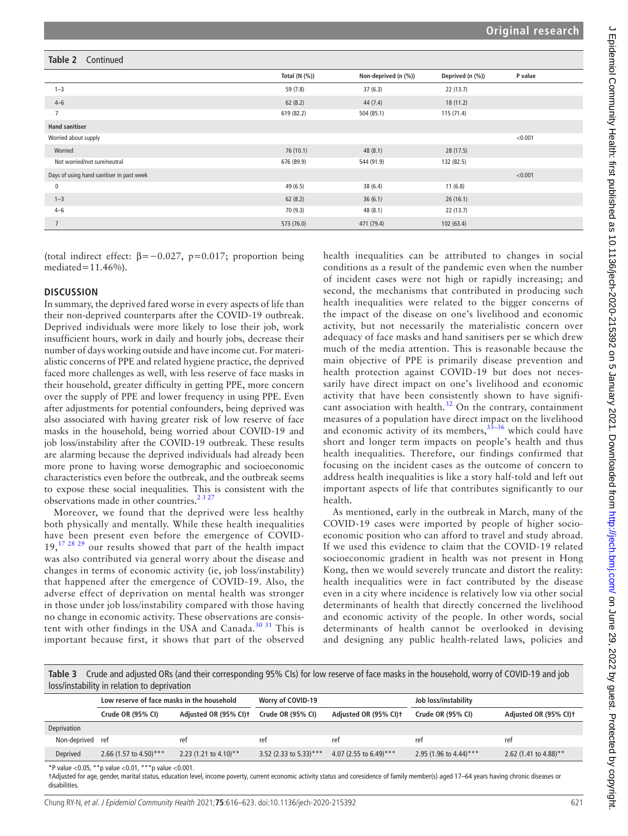## **Total (N (%)) Non-deprived (n (%)) Deprived (n (%)) P value** 1–3  $37 (6.3)$   $37 (6.3)$   $32 (13.7)$  $4-6$  62 (8.2)  $44(7.4)$  18 (11.2) 7 619 (82.2) 504 (85.1) 115 (71.4) **Hand sanitiser** Worried about supply <0.001 Worried 76 (10.1) 48 (8.1) 28 (17.5) Not worried/not sure/neutral 676 (89.9) 544 (91.9) 132 (82.5) Days of using hand sanitiser in past week <0.001 0 and 11 (6.8) 49 (6.5) 38 (6.4) 38 (6.4) 38 (6.4) 1–3 **62 (8.2)** 36 (6.1) 36 (16.1) 36 (16.1)  $70 (9.3)$   $48 (8.1)$   $22 (13.7)$ 7 573 (76.0) 471 (79.4) 102 (63.4) **Table 2** Continued

(total indirect effect:  $\beta = -0.027$ ,  $p = 0.017$ ; proportion being mediated=11.46%).

## **DISCUSSION**

In summary, the deprived fared worse in every aspects of life than their non-deprived counterparts after the COVID-19 outbreak. Deprived individuals were more likely to lose their job, work insufficient hours, work in daily and hourly jobs, decrease their number of days working outside and have income cut. For materialistic concerns of PPE and related hygiene practice, the deprived faced more challenges as well, with less reserve of face masks in their household, greater difficulty in getting PPE, more concern over the supply of PPE and lower frequency in using PPE. Even after adjustments for potential confounders, being deprived was also associated with having greater risk of low reserve of face masks in the household, being worried about COVID-19 and job loss/instability after the COVID-19 outbreak. These results are alarming because the deprived individuals had already been more prone to having worse demographic and socioeconomic characteristics even before the outbreak, and the outbreak seems to expose these social inequalities. This is consistent with the observations made in other countries.<sup>2327</sup>

Moreover, we found that the deprived were less healthy both physically and mentally. While these health inequalities have been present even before the emergence of COVID- $19,^{17}$   $^{28}$  29 our results showed that part of the health impact was also contributed via general worry about the disease and changes in terms of economic activity (ie, job loss/instability) that happened after the emergence of COVID-19. Also, the adverse effect of deprivation on mental health was stronger in those under job loss/instability compared with those having no change in economic activity. These observations are consis-tent with other findings in the USA and Canada.<sup>[30 31](#page-7-18)</sup> This is important because first, it shows that part of the observed

health inequalities can be attributed to changes in social conditions as a result of the pandemic even when the number of incident cases were not high or rapidly increasing; and second, the mechanisms that contributed in producing such health inequalities were related to the bigger concerns of the impact of the disease on one's livelihood and economic activity, but not necessarily the materialistic concern over adequacy of face masks and hand sanitisers per se which drew much of the media attention. This is reasonable because the main objective of PPE is primarily disease prevention and health protection against COVID-19 but does not necessarily have direct impact on one's livelihood and economic activity that have been consistently shown to have significant association with health.<sup>32</sup> On the contrary, containment measures of a population have direct impact on the livelihood and economic activity of its members,  $33-36$  which could have short and longer term impacts on people's health and thus health inequalities. Therefore, our findings confirmed that focusing on the incident cases as the outcome of concern to address health inequalities is like a story half-told and left out important aspects of life that contributes significantly to our health.

As mentioned, early in the outbreak in March, many of the COVID-19 cases were imported by people of higher socioeconomic position who can afford to travel and study abroad. If we used this evidence to claim that the COVID-19 related socioeconomic gradient in health was not present in Hong Kong, then we would severely truncate and distort the reality: health inequalities were in fact contributed by the disease even in a city where incidence is relatively low via other social determinants of health that directly concerned the livelihood and economic activity of the people. In other words, social determinants of health cannot be overlooked in devising and designing any public health-related laws, policies and

<span id="page-5-0"></span>**Table 3** Crude and adjusted ORs (and their corresponding 95% CIs) for low reserve of face masks in the household, worry of COVID-19 and job loss/instability in relation to deprivation

|              | Low reserve of face masks in the household |                                   | Worry of COVID-19      |                        | Job loss/instability   |                                   |
|--------------|--------------------------------------------|-----------------------------------|------------------------|------------------------|------------------------|-----------------------------------|
|              | Crude OR (95% CI)                          | Adjusted OR (95% CI) <sup>+</sup> | Crude OR (95% CI)      | Adjusted OR (95% CI)t  | Crude OR (95% CI)      | Adjusted OR (95% CI) <sup>+</sup> |
| Deprivation  |                                            |                                   |                        |                        |                        |                                   |
| Non-deprived | ref                                        | ret                               | ret                    | ret                    | ret                    | ret                               |
| Deprived     | 2.66 (1.57 to 4.50)***                     | 2.23 (1.21 to 4.10)**             | 3.52 (2.33 to 5.33)*** | 4.07 (2.55 to 6.49)*** | 2.95 (1.96 to 4.44)*** | 2.62 (1.41 to 4.88)**             |
|              |                                            |                                   |                        |                        |                        |                                   |

\*P value <0.05, \*\*p value <0.01, \*\*\*p value <0.001.

†Adjusted for age, gender, marital status, education level, income poverty, current economic activity status and coresidence of family member(s) aged 17–64 years having chronic diseases or disabilities.

Chung RY-N, et al. J Epidemiol Community Health 2021;**75**:616–623. doi:10.1136/jech-2020-215392 621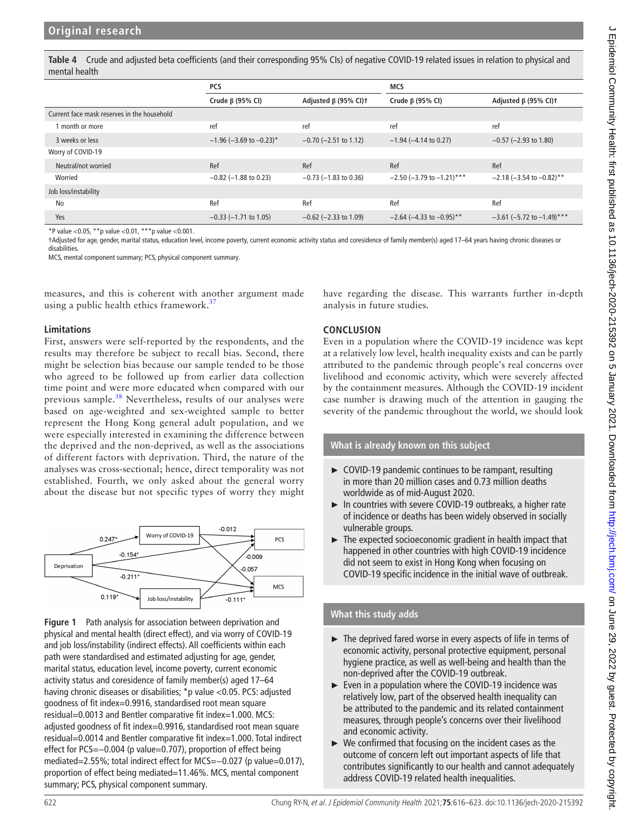<span id="page-6-0"></span>**Table 4** Crude and adjusted beta coefficients (and their corresponding 95% CIs) of negative COVID-19 related issues in relation to physical and mental health

|                                             | <b>PCS</b>                            |                                        | <b>MCS</b>                  |                             |
|---------------------------------------------|---------------------------------------|----------------------------------------|-----------------------------|-----------------------------|
|                                             | Crude $\beta$ (95% CI)                | Adjusted $\beta$ (95% CI) <sup>+</sup> | Crude β (95% CI)            | Adjusted $\beta$ (95% CI)t  |
| Current face mask reserves in the household |                                       |                                        |                             |                             |
| I month or more                             | ref                                   | ref                                    | ref                         | ref                         |
| 3 weeks or less                             | $-1.96$ (-3.69 to -0.23) <sup>*</sup> | $-0.70$ ( $-2.51$ to 1.12)             | $-1.94$ ( $-4.14$ to 0.27)  | $-0.57$ ( $-2.93$ to 1.80)  |
| Worry of COVID-19                           |                                       |                                        |                             |                             |
| Neutral/not worried                         | Ref                                   | Ref                                    | Ref                         | Ref                         |
| Worried                                     | $-0.82$ ( $-1.88$ to 0.23)            | $-0.73$ ( $-1.83$ to 0.36)             | $-2.50$ (-3.79 to -1.21)*** | $-2.18$ (-3.54 to -0.82)**  |
| Job loss/instability                        |                                       |                                        |                             |                             |
| No                                          | Ref                                   | Ref                                    | Ref                         | Ref                         |
| Yes                                         | $-0.33$ ( $-1.71$ to 1.05)            | $-0.62$ ( $-2.33$ to 1.09)             | $-2.64$ (-4.33 to -0.95)**  | $-3.61$ (-5.72 to -1.49)*** |

\*P value <0.05, \*\*p value <0.01, \*\*\*p value <0.001.

†Adjusted for age, gender, marital status, education level, income poverty, current economic activity status and coresidence of family member(s) aged 17–64 years having chronic diseases or disabilities.

MCS, mental component summary; PCS, physical component summary.

measures, and this is coherent with another argument made using a public health ethics framework.<sup>[37](#page-7-21)</sup>

## **Limitations**

First, answers were self-reported by the respondents, and the results may therefore be subject to recall bias. Second, there might be selection bias because our sample tended to be those who agreed to be followed up from earlier data collection time point and were more educated when compared with our previous sample.<sup>[38](#page-7-22)</sup> Nevertheless, results of our analyses were based on age-weighted and sex-weighted sample to better represent the Hong Kong general adult population, and we were especially interested in examining the difference between the deprived and the non-deprived, as well as the associations of different factors with deprivation. Third, the nature of the analyses was cross-sectional; hence, direct temporality was not established. Fourth, we only asked about the general worry about the disease but not specific types of worry they might



<span id="page-6-1"></span>**Figure 1** Path analysis for association between deprivation and physical and mental health (direct effect), and via worry of COVID-19 and job loss/instability (indirect effects). All coefficients within each path were standardised and estimated adjusting for age, gender, marital status, education level, income poverty, current economic activity status and coresidence of family member(s) aged 17–64 having chronic diseases or disabilities; \*p value <0.05. PCS: adjusted goodness of fit index=0.9916, standardised root mean square residual=0.0013 and Bentler comparative fit index=1.000. MCS: adjusted goodness of fit index=0.9916, standardised root mean square residual=0.0014 and Bentler comparative fit index=1.000. Total indirect effect for PCS=−0.004 (p value=0.707), proportion of effect being mediated=2.55%; total indirect effect for MCS=−0.027 (p value=0.017), proportion of effect being mediated=11.46%. MCS, mental component summary; PCS, physical component summary.

have regarding the disease. This warrants further in-depth analysis in future studies.

## **CONCLUSION**

Even in a population where the COVID-19 incidence was kept at a relatively low level, health inequality exists and can be partly attributed to the pandemic through people's real concerns over livelihood and economic activity, which were severely affected by the containment measures. Although the COVID-19 incident case number is drawing much of the attention in gauging the severity of the pandemic throughout the world, we should look

**What is already known on this subject**

- ► COVID-19 pandemic continues to be rampant, resulting in more than 20 million cases and 0.73 million deaths worldwide as of mid-August 2020.
- ► In countries with severe COVID-19 outbreaks, a higher rate of incidence or deaths has been widely observed in socially vulnerable groups.
- ► The expected socioeconomic gradient in health impact that happened in other countries with high COVID-19 incidence did not seem to exist in Hong Kong when focusing on COVID-19 specific incidence in the initial wave of outbreak.

## **What this study adds**

- ► The deprived fared worse in every aspects of life in terms of economic activity, personal protective equipment, personal hygiene practice, as well as well-being and health than the non-deprived after the COVID-19 outbreak.
- ► Even in a population where the COVID-19 incidence was relatively low, part of the observed health inequality can be attributed to the pandemic and its related containment measures, through people's concerns over their livelihood and economic activity.
- $\triangleright$  We confirmed that focusing on the incident cases as the outcome of concern left out important aspects of life that contributes significantly to our health and cannot adequately address COVID-19 related health inequalities.